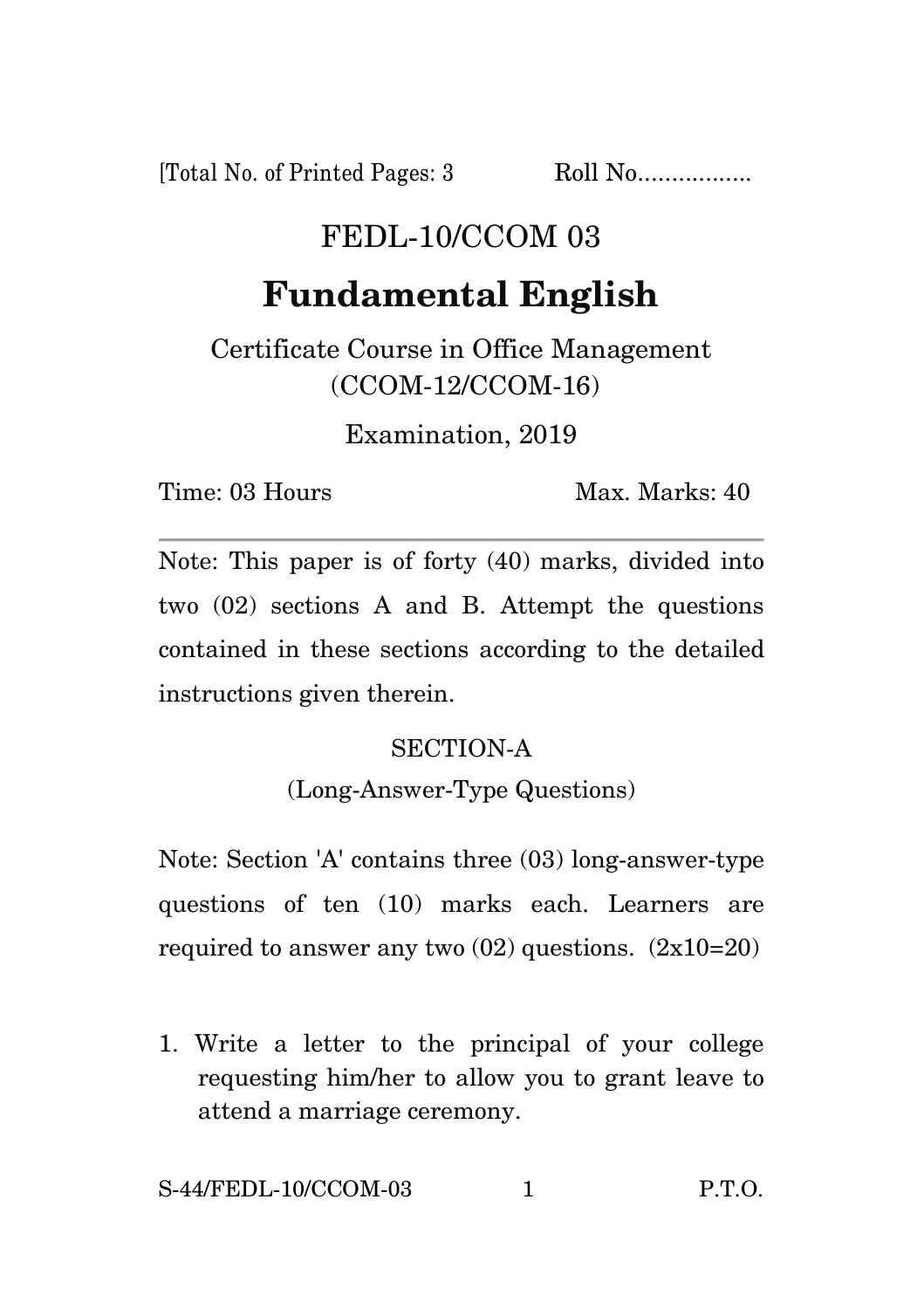[Total No. of Printed Pages: 3 Roll No.................

## FEDL-10/CCOM 03

# **Fundamental English**

Certificate Course in Office Management (CCOM-12/CCOM-16)

Examination, 2019

Time: 03 Hours Max. Marks: 40

Note: This paper is of forty (40) marks, divided into two (02) sections A and B. Attempt the questions contained in these sections according to the detailed instructions given therein.

#### SECTION-A

(Long-Answer-Type Questions)

Note: Section 'A' contains three (03) long-answer-type questions of ten (10) marks each. Learners are required to answer any two  $(02)$  questions.  $(2x10=20)$ 

1. Write a letter to the principal of your college requesting him/her to allow you to grant leave to attend a marriage ceremony.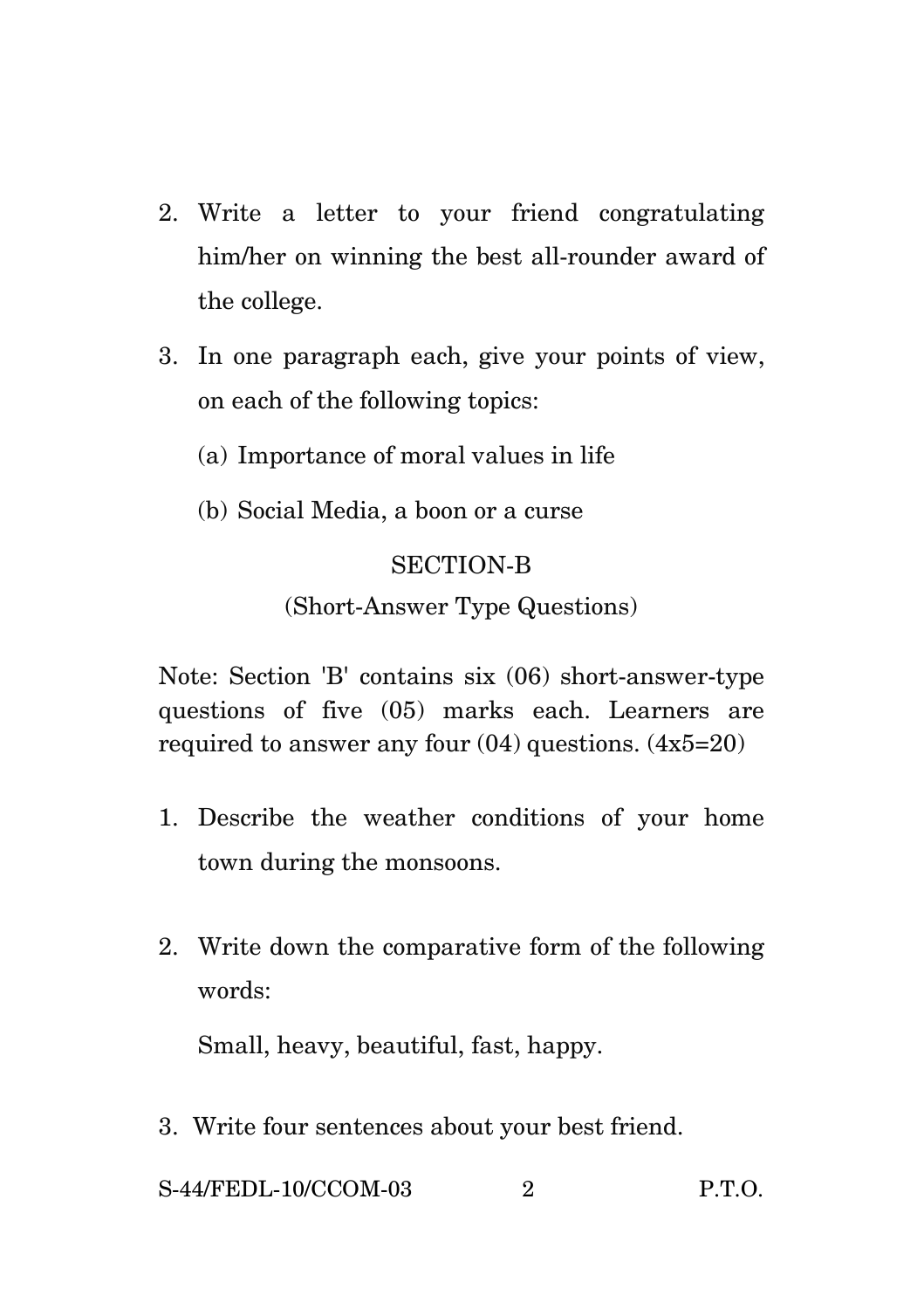- 2. Write a letter to your friend congratulating him/her on winning the best all-rounder award of the college.
- 3. In one paragraph each, give your points of view, on each of the following topics:
	- (a) Importance of moral values in life
	- (b) Social Media, a boon or a curse

#### SECTION-B

### (Short-Answer Type Questions)

Note: Section 'B' contains six (06) short-answer-type questions of five (05) marks each. Learners are required to answer any four  $(04)$  questions.  $(4x5=20)$ 

- 1. Describe the weather conditions of your home town during the monsoons.
- 2. Write down the comparative form of the following words:

Small, heavy, beautiful, fast, happy.

3. Write four sentences about your best friend.

S-44/FEDL-10/CCOM-03 2 P.T.O.